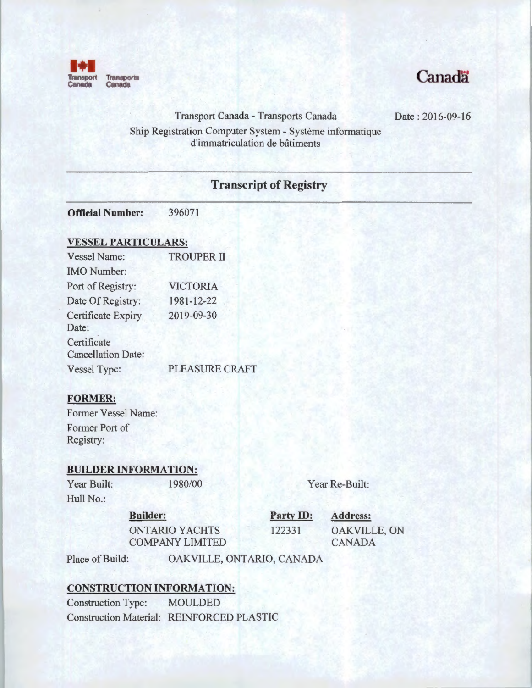

# Canadä

Date : 2016-09-16

Transport Canada - Transports Canada Ship Registration Computer System - Systeme informatique d'immatriculation de batiments

# **Transcript of Registry**

**Official Number:** 396071

#### **VESSEL PARTICULARS:**

| <b>Vessel Name:</b>                      | <b>TROUPER II</b> |  |
|------------------------------------------|-------------------|--|
| <b>IMO</b> Number:                       |                   |  |
| Port of Registry:                        | <b>VICTORIA</b>   |  |
| Date Of Registry:                        | 1981-12-22        |  |
| <b>Certificate Expiry</b><br>Date:       | 2019-09-30        |  |
| Certificate<br><b>Cancellation Date:</b> |                   |  |
| Vessel Type:                             | PLEASURE CRAFT    |  |

## **FORMER:**

Former Vessel Name: Former Port of Registry:

#### **BUILDER INFORMATION:**

Year Built: 1980/00 Hull No.:

Year Re-Built:

#### **Builder:**

ONTARIO YACHTS COMPANY LIMITED **Party ID:** 

**Address:**  122331 OAKVILLE, ON CANADA

Place of Build: OAKVILLE, ONTARIO, CANADA

### **CONSTRUCTION INFORMATION:**

Construction Type: MOULDED Construction Material: REINFORCED PLASTIC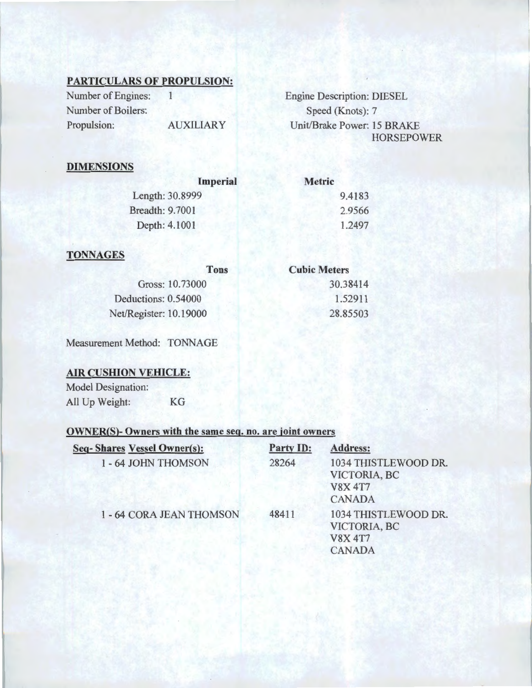## PARTICULARS OF PROPULSION:

Number of Engines: 1 Number of Boilers: Propulsion: AUXILIARY Engine Description: DIESEL Speed (Knots): 7 Unit/Brake Power: 15 BRAKE HORSEPOWER

> 30.38414 1.52911 28.85503

## DIMENSIONS

| Imperial               | <b>Metric</b> |
|------------------------|---------------|
| Length: 30.8999        | 9.4183        |
| <b>Breadth: 9.7001</b> | 2.9566        |
| Depth: 4.1001          | 1.2497        |
|                        |               |

## **TONNAGES**

| <b>Tons</b>            | <b>Cubic Meters</b> |
|------------------------|---------------------|
| Gross: 10.73000        | 30.38               |
| Deductions: 0.54000    | 1.52                |
| Net/Register: 10.19000 | 28.85               |
|                        |                     |

Measurement Method: TONNAGE

#### AIR CUSHION VEHICLE:

Model Designation: All Up Weight: KG

### OWNER(S)- Owners with the same seq. no. are joint owners

| <b>Seq-Shares Vessel Owner(s):</b> | <b>Party ID:</b> | <b>Address:</b>                                                         |
|------------------------------------|------------------|-------------------------------------------------------------------------|
| 1 - 64 JOHN THOMSON                | 28264            | 1034 THISTLEWOOD DR.<br>VICTORIA, BC<br><b>V8X 4T7</b><br><b>CANADA</b> |
| 1 - 64 CORA JEAN THOMSON           | 48411            | 1034 THISTLEWOOD DR.<br>VICTORIA, BC<br><b>V8X 4T7</b><br><b>CANADA</b> |